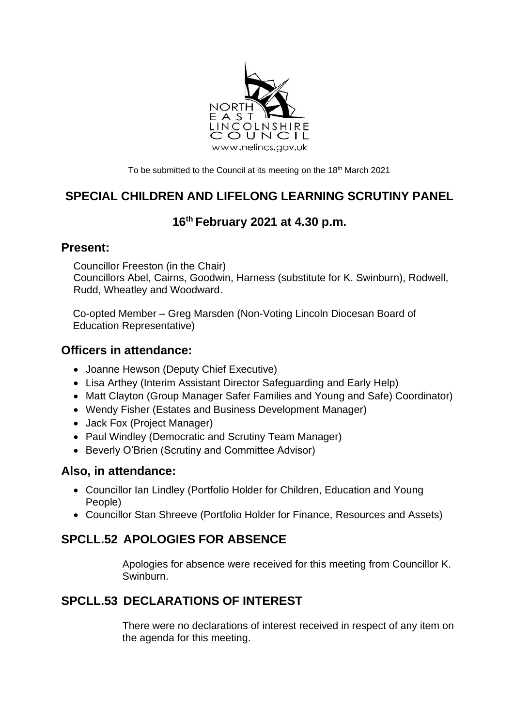

To be submitted to the Council at its meeting on the 18<sup>th</sup> March 2021

# **SPECIAL CHILDREN AND LIFELONG LEARNING SCRUTINY PANEL**

# **16th February 2021 at 4.30 p.m.**

#### **Present:**

Councillor Freeston (in the Chair) Councillors Abel, Cairns, Goodwin, Harness (substitute for K. Swinburn), Rodwell, Rudd, Wheatley and Woodward.

Co-opted Member – Greg Marsden (Non-Voting Lincoln Diocesan Board of Education Representative)

### **Officers in attendance:**

- Joanne Hewson (Deputy Chief Executive)
- Lisa Arthey (Interim Assistant Director Safeguarding and Early Help)
- Matt Clayton (Group Manager Safer Families and Young and Safe) Coordinator)
- Wendy Fisher (Estates and Business Development Manager)
- Jack Fox (Project Manager)
- Paul Windley (Democratic and Scrutiny Team Manager)
- Beverly O'Brien (Scrutiny and Committee Advisor)

### **Also, in attendance:**

- Councillor Ian Lindley (Portfolio Holder for Children, Education and Young People)
- Councillor Stan Shreeve (Portfolio Holder for Finance, Resources and Assets)

# **SPCLL.52 APOLOGIES FOR ABSENCE**

Apologies for absence were received for this meeting from Councillor K. Swinburn.

# **SPCLL.53 DECLARATIONS OF INTEREST**

There were no declarations of interest received in respect of any item on the agenda for this meeting.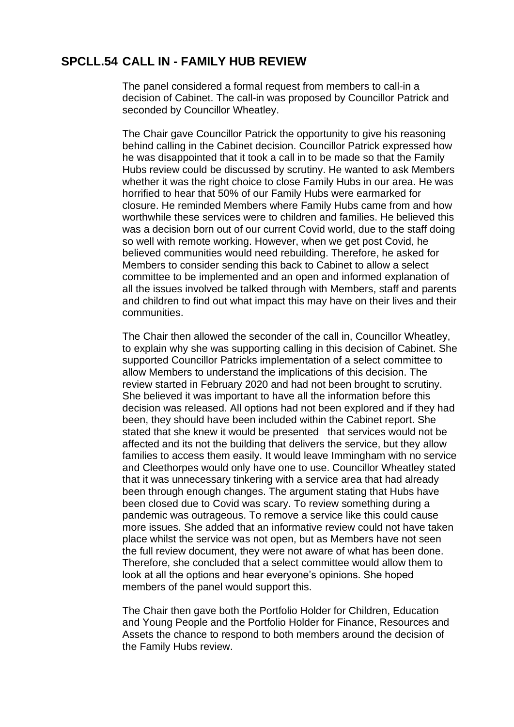### **SPCLL.54 CALL IN - FAMILY HUB REVIEW**

The panel considered a formal request from members to call-in a decision of Cabinet. The call-in was proposed by Councillor Patrick and seconded by Councillor Wheatley.

The Chair gave Councillor Patrick the opportunity to give his reasoning behind calling in the Cabinet decision. Councillor Patrick expressed how he was disappointed that it took a call in to be made so that the Family Hubs review could be discussed by scrutiny. He wanted to ask Members whether it was the right choice to close Family Hubs in our area. He was horrified to hear that 50% of our Family Hubs were earmarked for closure. He reminded Members where Family Hubs came from and how worthwhile these services were to children and families. He believed this was a decision born out of our current Covid world, due to the staff doing so well with remote working. However, when we get post Covid, he believed communities would need rebuilding. Therefore, he asked for Members to consider sending this back to Cabinet to allow a select committee to be implemented and an open and informed explanation of all the issues involved be talked through with Members, staff and parents and children to find out what impact this may have on their lives and their communities.

The Chair then allowed the seconder of the call in, Councillor Wheatley, to explain why she was supporting calling in this decision of Cabinet. She supported Councillor Patricks implementation of a select committee to allow Members to understand the implications of this decision. The review started in February 2020 and had not been brought to scrutiny. She believed it was important to have all the information before this decision was released. All options had not been explored and if they had been, they should have been included within the Cabinet report. She stated that she knew it would be presented that services would not be affected and its not the building that delivers the service, but they allow families to access them easily. It would leave Immingham with no service and Cleethorpes would only have one to use. Councillor Wheatley stated that it was unnecessary tinkering with a service area that had already been through enough changes. The argument stating that Hubs have been closed due to Covid was scary. To review something during a pandemic was outrageous. To remove a service like this could cause more issues. She added that an informative review could not have taken place whilst the service was not open, but as Members have not seen the full review document, they were not aware of what has been done. Therefore, she concluded that a select committee would allow them to look at all the options and hear everyone's opinions. She hoped members of the panel would support this.

The Chair then gave both the Portfolio Holder for Children, Education and Young People and the Portfolio Holder for Finance, Resources and Assets the chance to respond to both members around the decision of the Family Hubs review.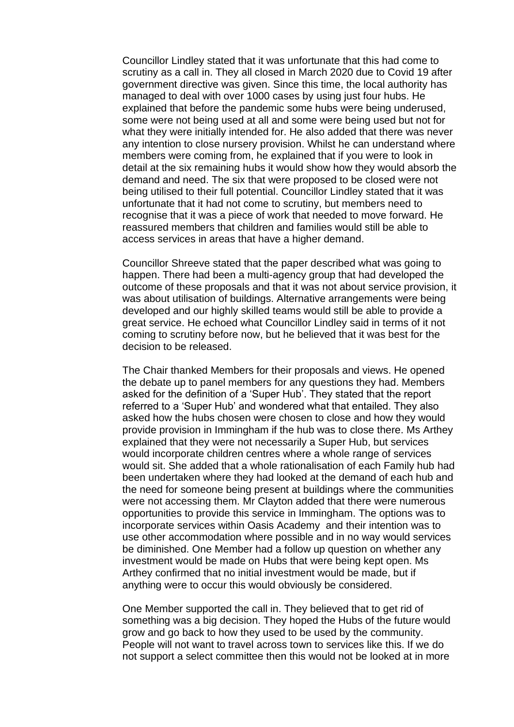Councillor Lindley stated that it was unfortunate that this had come to scrutiny as a call in. They all closed in March 2020 due to Covid 19 after government directive was given. Since this time, the local authority has managed to deal with over 1000 cases by using just four hubs. He explained that before the pandemic some hubs were being underused, some were not being used at all and some were being used but not for what they were initially intended for. He also added that there was never any intention to close nursery provision. Whilst he can understand where members were coming from, he explained that if you were to look in detail at the six remaining hubs it would show how they would absorb the demand and need. The six that were proposed to be closed were not being utilised to their full potential. Councillor Lindley stated that it was unfortunate that it had not come to scrutiny, but members need to recognise that it was a piece of work that needed to move forward. He reassured members that children and families would still be able to access services in areas that have a higher demand.

Councillor Shreeve stated that the paper described what was going to happen. There had been a multi-agency group that had developed the outcome of these proposals and that it was not about service provision, it was about utilisation of buildings. Alternative arrangements were being developed and our highly skilled teams would still be able to provide a great service. He echoed what Councillor Lindley said in terms of it not coming to scrutiny before now, but he believed that it was best for the decision to be released.

The Chair thanked Members for their proposals and views. He opened the debate up to panel members for any questions they had. Members asked for the definition of a 'Super Hub'. They stated that the report referred to a 'Super Hub' and wondered what that entailed. They also asked how the hubs chosen were chosen to close and how they would provide provision in Immingham if the hub was to close there. Ms Arthey explained that they were not necessarily a Super Hub, but services would incorporate children centres where a whole range of services would sit. She added that a whole rationalisation of each Family hub had been undertaken where they had looked at the demand of each hub and the need for someone being present at buildings where the communities were not accessing them. Mr Clayton added that there were numerous opportunities to provide this service in Immingham. The options was to incorporate services within Oasis Academy and their intention was to use other accommodation where possible and in no way would services be diminished. One Member had a follow up question on whether any investment would be made on Hubs that were being kept open. Ms Arthey confirmed that no initial investment would be made, but if anything were to occur this would obviously be considered.

One Member supported the call in. They believed that to get rid of something was a big decision. They hoped the Hubs of the future would grow and go back to how they used to be used by the community. People will not want to travel across town to services like this. If we do not support a select committee then this would not be looked at in more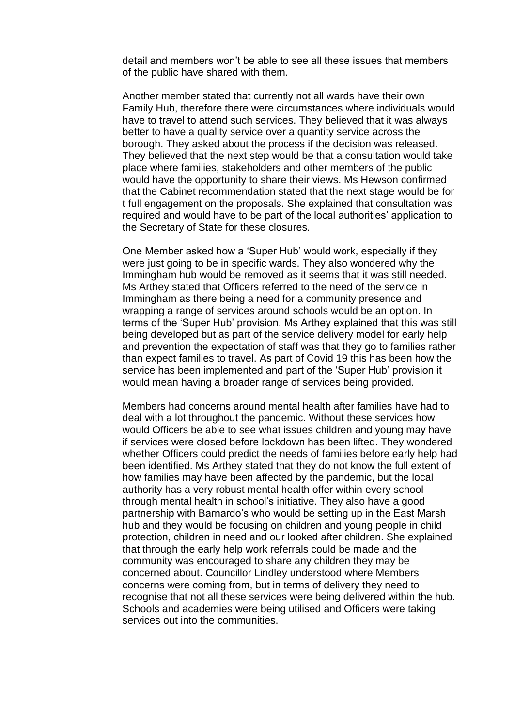detail and members won't be able to see all these issues that members of the public have shared with them.

Another member stated that currently not all wards have their own Family Hub, therefore there were circumstances where individuals would have to travel to attend such services. They believed that it was always better to have a quality service over a quantity service across the borough. They asked about the process if the decision was released. They believed that the next step would be that a consultation would take place where families, stakeholders and other members of the public would have the opportunity to share their views. Ms Hewson confirmed that the Cabinet recommendation stated that the next stage would be for t full engagement on the proposals. She explained that consultation was required and would have to be part of the local authorities' application to the Secretary of State for these closures.

One Member asked how a 'Super Hub' would work, especially if they were just going to be in specific wards. They also wondered why the Immingham hub would be removed as it seems that it was still needed. Ms Arthey stated that Officers referred to the need of the service in Immingham as there being a need for a community presence and wrapping a range of services around schools would be an option. In terms of the 'Super Hub' provision. Ms Arthey explained that this was still being developed but as part of the service delivery model for early help and prevention the expectation of staff was that they go to families rather than expect families to travel. As part of Covid 19 this has been how the service has been implemented and part of the 'Super Hub' provision it would mean having a broader range of services being provided.

Members had concerns around mental health after families have had to deal with a lot throughout the pandemic. Without these services how would Officers be able to see what issues children and young may have if services were closed before lockdown has been lifted. They wondered whether Officers could predict the needs of families before early help had been identified. Ms Arthey stated that they do not know the full extent of how families may have been affected by the pandemic, but the local authority has a very robust mental health offer within every school through mental health in school's initiative. They also have a good partnership with Barnardo's who would be setting up in the East Marsh hub and they would be focusing on children and young people in child protection, children in need and our looked after children. She explained that through the early help work referrals could be made and the community was encouraged to share any children they may be concerned about. Councillor Lindley understood where Members concerns were coming from, but in terms of delivery they need to recognise that not all these services were being delivered within the hub. Schools and academies were being utilised and Officers were taking services out into the communities.